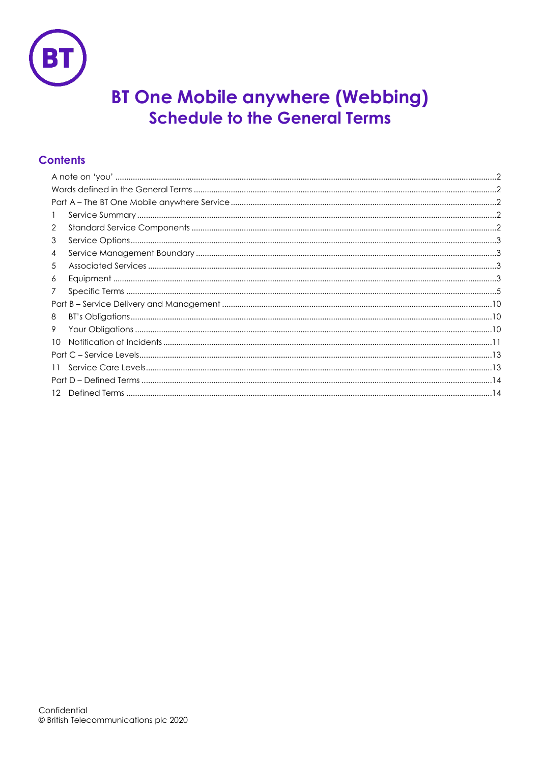

# **BT One Mobile anywhere (Webbing) Schedule to the General Terms**

# **Contents**

| 1             |  |  |
|---------------|--|--|
| 2             |  |  |
| 3             |  |  |
| 4             |  |  |
| 5             |  |  |
| 6             |  |  |
| $\mathcal{I}$ |  |  |
|               |  |  |
| 8             |  |  |
| 9             |  |  |
| 10            |  |  |
|               |  |  |
|               |  |  |
|               |  |  |
| 12.           |  |  |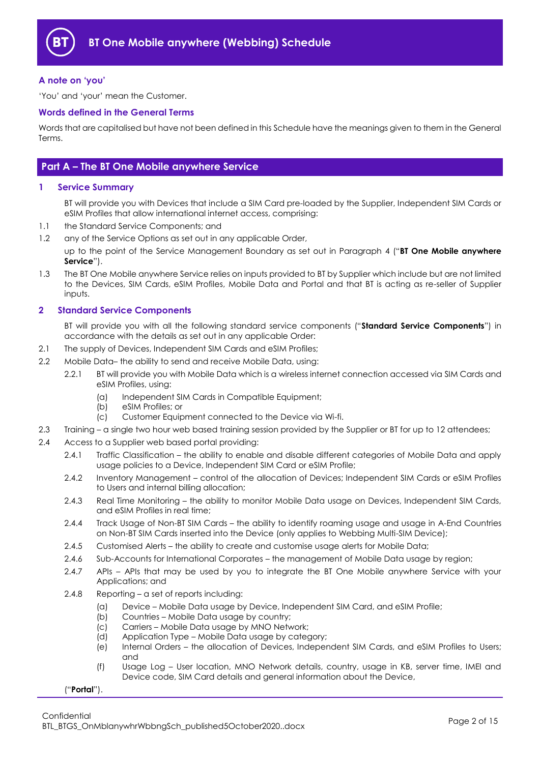

#### <span id="page-1-0"></span>**A note on 'you'**

'You' and 'your' mean the Customer.

#### <span id="page-1-1"></span>**Words defined in the General Terms**

Words that are capitalised but have not been defined in this Schedule have the meanings given to them in the General Terms.

### <span id="page-1-2"></span>**Part A – The BT One Mobile anywhere Service**

#### <span id="page-1-3"></span>**1 Service Summary**

BT will provide you with Devices that include a SIM Card pre-loaded by the Supplier, Independent SIM Cards or eSIM Profiles that allow international internet access, comprising:

- 1.1 the Standard Service Components; and
- 1.2 any of the Service Options as set out in any applicable Order,

up to the point of the Service Management Boundary as set out in Paragraph [4](#page-2-1) ("**BT One Mobile anywhere Service**").

1.3 The BT One Mobile anywhere Service relies on inputs provided to BT by Supplier which include but are not limited to the Devices, SIM Cards, eSIM Profiles, Mobile Data and Portal and that BT is acting as re-seller of Supplier inputs.

#### <span id="page-1-4"></span>**2 Standard Service Components**

BT will provide you with all the following standard service components ("**Standard Service Components**") in accordance with the details as set out in any applicable Order:

- 2.1 The supply of Devices, Independent SIM Cards and eSIM Profiles;
- 2.2 Mobile Data– the ability to send and receive Mobile Data, using:
	- 2.2.1 BT will provide you with Mobile Data which is a wireless internet connection accessed via SIM Cards and eSIM Profiles, using:
		- (a) Independent SIM Cards in Compatible Equipment;
		- (b) eSIM Profiles; or
		- (c) Customer Equipment connected to the Device via Wi-fi.
- 2.3 Training a single two hour web based training session provided by the Supplier or BT for up to 12 attendees;
- <span id="page-1-5"></span>2.4 Access to a Supplier web based portal providing:
	- 2.4.1 Traffic Classification the ability to enable and disable different categories of Mobile Data and apply usage policies to a Device, Independent SIM Card or eSIM Profile;
	- 2.4.2 Inventory Management control of the allocation of Devices; Independent SIM Cards or eSIM Profiles to Users and internal billing allocation;
	- 2.4.3 Real Time Monitoring the ability to monitor Mobile Data usage on Devices, Independent SIM Cards, and eSIM Profiles in real time;
	- 2.4.4 Track Usage of Non-BT SIM Cards the ability to identify roaming usage and usage in A-End Countries on Non-BT SIM Cards inserted into the Device (only applies to Webbing Multi-SIM Device);
	- 2.4.5 Customised Alerts the ability to create and customise usage alerts for Mobile Data;
	- 2.4.6 Sub-Accounts for International Corporates the management of Mobile Data usage by region;
	- 2.4.7 APIs APIs that may be used by you to integrate the BT One Mobile anywhere Service with your Applications; and
	- 2.4.8 Reporting a set of reports including:
		- (a) Device Mobile Data usage by Device, Independent SIM Card, and eSIM Profile;
		- (b) Countries Mobile Data usage by country;
		- (c) Carriers Mobile Data usage by MNO Network;
		- (d) Application Type Mobile Data usage by category;
		- (e) Internal Orders the allocation of Devices, Independent SIM Cards, and eSIM Profiles to Users; and
		- (f) Usage Log User location, MNO Network details, country, usage in KB, server time, IMEI and Device code, SIM Card details and general information about the Device,

#### ("**Portal**").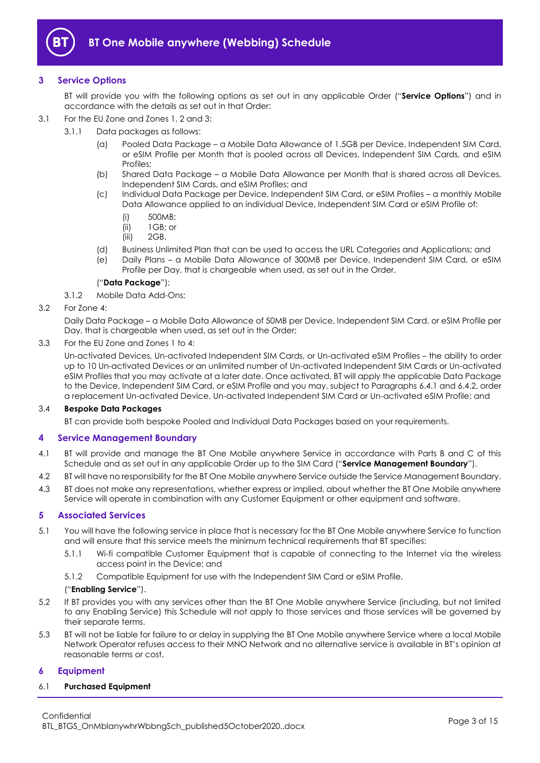

#### <span id="page-2-0"></span>**3 Service Options**

BT will provide you with the following options as set out in any applicable Order ("**Service Options**") and in accordance with the details as set out in that Order:

- <span id="page-2-4"></span>3.1 For the EU Zone and Zones 1, 2 and 3:
	- 3.1.1 Data packages as follows:
		- (a) Pooled Data Package a Mobile Data Allowance of 1.5GB per Device, Independent SIM Card, or eSIM Profile per Month that is pooled across all Devices, Independent SIM Cards, and eSIM Profiles;
		- (b) Shared Data Package a Mobile Data Allowance per Month that is shared across all Devices, Independent SIM Cards, and eSIM Profiles; and
		- (c) Individual Data Package per Device, Independent SIM Card, or eSIM Profiles a monthly Mobile Data Allowance applied to an individual Device, Independent SIM Card or eSIM Profile of:
			- (i) 500MB;
			- (ii) 1GB; or
			- (iii) 2GB.
		- (d) Business Unlimited Plan that can be used to access the URL Categories and Applications; and
		- (e) Daily Plans a Mobile Data Allowance of 300MB per Device, Independent SIM Card, or eSIM Profile per Day, that is chargeable when used, as set out in the Order,

#### ("**Data Package**");

- 3.1.2 Mobile Data Add-Ons;
- 3.2 For Zone 4:

Daily Data Package – a Mobile Data Allowance of 50MB per Device, Independent SIM Card, or eSIM Profile per Day, that is chargeable when used, as set out in the Order;

3.3 For the EU Zone and Zones 1 to 4:

Un-activated Devices, Un-activated Independent SIM Cards, or Un-activated eSIM Profiles – the ability to order up to 10 Un-activated Devices or an unlimited number of Un-activated Independent SIM Cards or Un-activated eSIM Profiles that you may activate at a later date. Once activated, BT will apply the applicable Data Package to the Device, Independent SIM Card, or eSIM Profile and you may, subject to Paragraphs [6.4.1](#page-3-0) an[d 6.4.2,](#page-3-1) order a replacement Un-activated Device, Un-activated Independent SIM Card or Un-activated eSIM Profile; and

#### 3.4 **Bespoke Data Packages**

BT can provide both bespoke Pooled and Individual Data Packages based on your requirements.

#### <span id="page-2-1"></span>**4 Service Management Boundary**

- <span id="page-2-6"></span>4.1 BT will provide and manage the BT One Mobile anywhere Service in accordance with Parts B and C of this Schedule and as set out in any applicable Order up to the SIM Card ("**Service Management Boundary**").
- 4.2 BT will have no responsibility for the BT One Mobile anywhere Service outside the Service Management Boundary.
- 4.3 BT does not make any representations, whether express or implied, about whether the BT One Mobile anywhere Service will operate in combination with any Customer Equipment or other equipment and software.

#### <span id="page-2-2"></span>**5 Associated Services**

- <span id="page-2-5"></span>5.1 You will have the following service in place that is necessary for the BT One Mobile anywhere Service to function and will ensure that this service meets the minimum technical requirements that BT specifies:
	- 5.1.1 Wi-fi compatible Customer Equipment that is capable of connecting to the Internet via the wireless access point in the Device; and
	- 5.1.2 Compatible Equipment for use with the Independent SIM Card or eSIM Profile,

#### ("**Enabling Service**").

- 5.2 If BT provides you with any services other than the BT One Mobile anywhere Service (including, but not limited to any Enabling Service) this Schedule will not apply to those services and those services will be governed by their separate terms.
- 5.3 BT will not be liable for failure to or delay in supplying the BT One Mobile anywhere Service where a local Mobile Network Operator refuses access to their MNO Network and no alternative service is available in BT's opinion at reasonable terms or cost.

#### <span id="page-2-3"></span>**6 Equipment**

#### 6.1 **Purchased Equipment**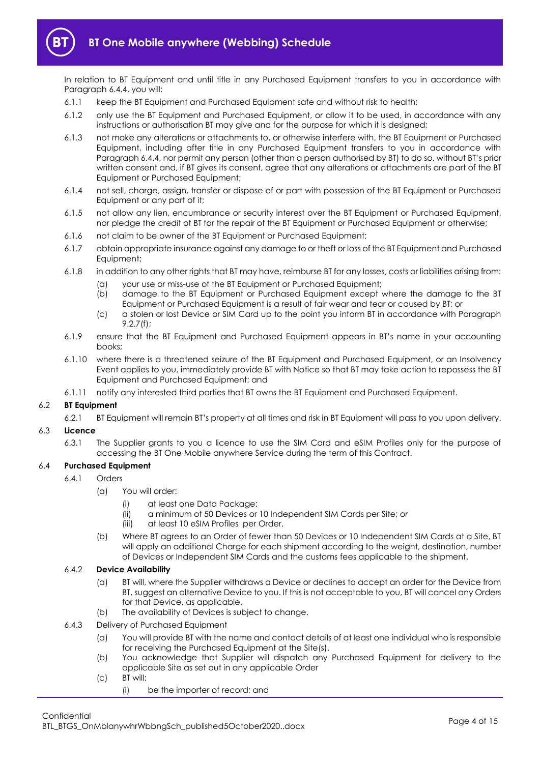

In relation to BT Equipment and until title in any Purchased Equipment transfers to you in accordance with Paragraph [6.4.4,](#page-4-1) you will:

- 6.1.1 keep the BT Equipment and Purchased Equipment safe and without risk to health;
- 6.1.2 only use the BT Equipment and Purchased Equipment, or allow it to be used, in accordance with any instructions or authorisation BT may give and for the purpose for which it is designed;
- 6.1.3 not make any alterations or attachments to, or otherwise interfere with, the BT Equipment or Purchased Equipment, including after title in any Purchased Equipment transfers to you in accordance with Paragrap[h 6.4.4](#page-4-1), nor permit any person (other than a person authorised by BT) to do so, without BT's prior written consent and, if BT gives its consent, garee that any alterations or attachments are part of the BT Equipment or Purchased Equipment;
- 6.1.4 not sell, charge, assign, transfer or dispose of or part with possession of the BT Equipment or Purchased Equipment or any part of it;
- 6.1.5 not allow any lien, encumbrance or security interest over the BT Equipment or Purchased Equipment, nor pledge the credit of BT for the repair of the BT Equipment or Purchased Equipment or otherwise;
- 6.1.6 not claim to be owner of the BT Equipment or Purchased Equipment;
- 6.1.7 obtain appropriate insurance against any damage to or theft or loss of the BT Equipment and Purchased Equipment;
- 6.1.8 in addition to any other rights that BT may have, reimburse BT for any losses, costs or liabilities arising from:
	- (a) your use or miss-use of the BT Equipment or Purchased Equipment;
	- (b) damage to the BT Equipment or Purchased Equipment except where the damage to the BT Equipment or Purchased Equipment is a result of fair wear and tear or caused by BT; or
	- (c) a stolen or lost Device or SIM Card up to the point you inform BT in accordance with Paragraph [9.2.7\(f\);](#page-10-1)
- 6.1.9 ensure that the BT Equipment and Purchased Equipment appears in BT's name in your accounting books;
- 6.1.10 where there is a threatened seizure of the BT Equipment and Purchased Equipment, or an Insolvency Event applies to you, immediately provide BT with Notice so that BT may take action to repossess the BT Equipment and Purchased Equipment; and
- 6.1.11 notify any interested third parties that BT owns the BT Equipment and Purchased Equipment.

#### 6.2 **BT Equipment**

6.2.1 BT Equipment will remain BT's property at all times and risk in BT Equipment will pass to you upon delivery.

#### 6.3 **Licence**

6.3.1 The Supplier grants to you a licence to use the SIM Card and eSIM Profiles only for the purpose of accessing the BT One Mobile anywhere Service during the term of this Contract.

#### <span id="page-3-0"></span>6.4 **Purchased Equipment**

- 6.4.1 Orders
	- (a) You will order:
		- (i) at least one Data Package;
		- (ii) a minimum of 50 Devices or 10 Independent SIM Cards per Site; or
		- (iii) at least 10 eSIM Profiles per Order.
	- (b) Where BT agrees to an Order of fewer than 50 Devices or 10 Independent SIM Cards at a Site, BT will apply an additional Charge for each shipment according to the weight, destination, number of Devices or Independent SIM Cards and the customs fees applicable to the shipment.

#### <span id="page-3-1"></span>6.4.2 **Device Availability**

- (a) BT will, where the Supplier withdraws a Device or declines to accept an order for the Device from BT, suggest an alternative Device to you. If this is not acceptable to you, BT will cancel any Orders for that Device, as applicable.
- (b) The availability of Devices is subject to change.
- 6.4.3 Delivery of Purchased Equipment
	- (a) You will provide BT with the name and contact details of at least one individual who is responsible for receiving the Purchased Equipment at the Site(s).
	- (b) You acknowledge that Supplier will dispatch any Purchased Equipment for delivery to the applicable Site as set out in any applicable Order
	- (c) BT will:
		- (i) be the importer of record; and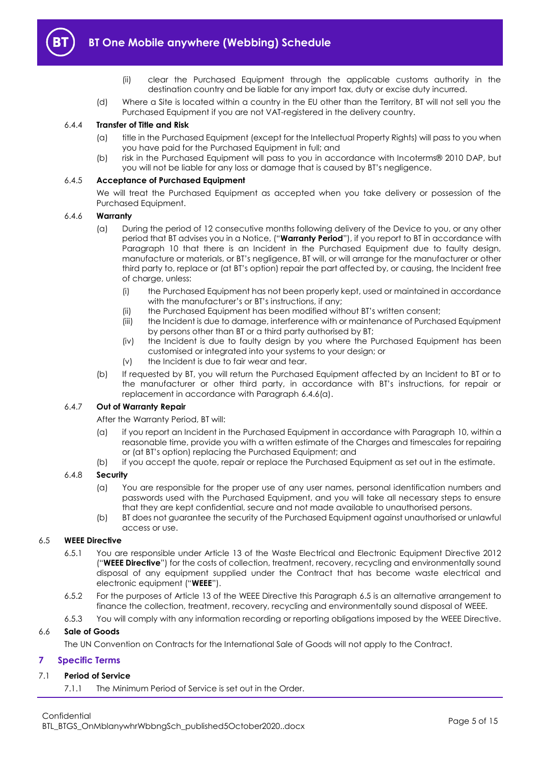

- (ii) clear the Purchased Equipment through the applicable customs authority in the destination country and be liable for any import tax, duty or excise duty incurred.
- (d) Where a Site is located within a country in the EU other than the Territory, BT will not sell you the Purchased Equipment if you are not VAT-registered in the delivery country.

#### <span id="page-4-1"></span>6.4.4 **Transfer of Title and Risk**

- (a) title in the Purchased Equipment (except for the Intellectual Property Rights) will pass to you when you have paid for the Purchased Equipment in full; and
- (b) risk in the Purchased Equipment will pass to you in accordance with Incoterms® 2010 DAP, but you will not be liable for any loss or damage that is caused by BT's negligence.

#### 6.4.5 **Acceptance of Purchased Equipment**

We will treat the Purchased Equipment as accepted when you take delivery or possession of the Purchased Equipment.

#### <span id="page-4-2"></span>6.4.6 **Warranty**

- (a) During the period of 12 consecutive months following delivery of the Device to you, or any other period that BT advises you in a Notice, ("**Warranty Period**"), if you report to BT in accordance with Paragraph [10](#page-10-0) that there is an Incident in the Purchased Equipment due to faulty design, manufacture or materials, or BT's negligence, BT will, or will arrange for the manufacturer or other third party to, replace or (at BT's option) repair the part affected by, or causing, the Incident free of charge, unless:
	- (i) the Purchased Equipment has not been properly kept, used or maintained in accordance with the manufacturer's or BT's instructions, if any;
	- (ii) the Purchased Equipment has been modified without BT's written consent;
	- (iii) the Incident is due to damage, interference with or maintenance of Purchased Equipment by persons other than BT or a third party authorised by BT;
	- (iv) the Incident is due to faulty design by you where the Purchased Equipment has been customised or integrated into your systems to your design; or
	- (v) the Incident is due to fair wear and tear.
- (b) If requested by BT, you will return the Purchased Equipment affected by an Incident to BT or to the manufacturer or other third party, in accordance with BT's instructions, for repair or replacement in accordance with Paragraph [6.4.6\(a\).](#page-4-2)

#### <span id="page-4-4"></span>6.4.7 **Out of Warranty Repair**

After the Warranty Period, BT will:

- (a) if you report an Incident in the Purchased Equipment in accordance with Paragraph [10,](#page-10-0) within a reasonable time, provide you with a written estimate of the Charges and timescales for repairing or (at BT's option) replacing the Purchased Equipment; and
- (b) if you accept the quote, repair or replace the Purchased Equipment as set out in the estimate.

#### 6.4.8 **Security**

- (a) You are responsible for the proper use of any user names, personal identification numbers and passwords used with the Purchased Equipment, and you will take all necessary steps to ensure that they are kept confidential, secure and not made available to unauthorised persons.
- (b) BT does not guarantee the security of the Purchased Equipment against unauthorised or unlawful access or use.

#### <span id="page-4-5"></span><span id="page-4-3"></span>6.5 **WEEE Directive**

- 6.5.1 You are responsible under Article 13 of the Waste Electrical and Electronic Equipment Directive 2012 ("**WEEE Directive**") for the costs of collection, treatment, recovery, recycling and environmentally sound disposal of any equipment supplied under the Contract that has become waste electrical and electronic equipment ("**WEEE**").
- <span id="page-4-6"></span>6.5.2 For the purposes of Article 13 of the WEEE Directive this Paragraph [6.5](#page-4-3) is an alternative arrangement to finance the collection, treatment, recovery, recycling and environmentally sound disposal of WEEE.
- 6.5.3 You will comply with any information recording or reporting obligations imposed by the WEEE Directive.

#### 6.6 **Sale of Goods**

The UN Convention on Contracts for the International Sale of Goods will not apply to the Contract.

#### <span id="page-4-0"></span>**7 Specific Terms**

#### 7.1 **Period of Service**

7.1.1 The Minimum Period of Service is set out in the Order.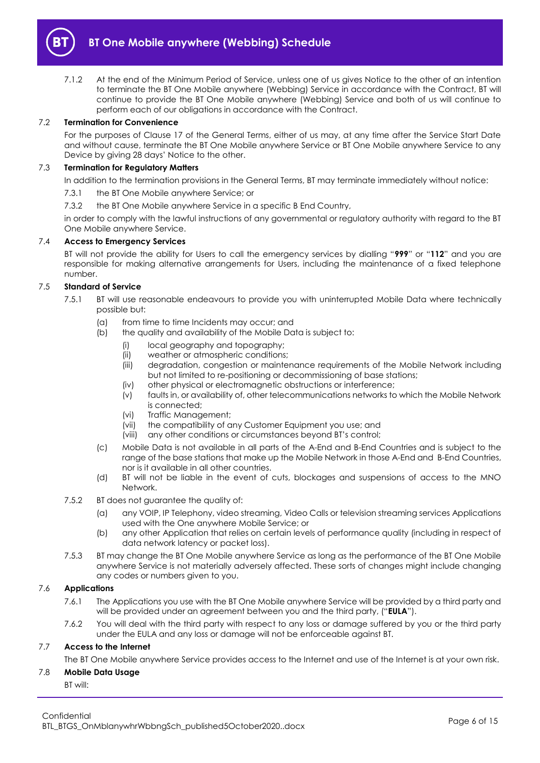

7.1.2 At the end of the Minimum Period of Service, unless one of us gives Notice to the other of an intention to terminate the BT One Mobile anywhere (Webbing) Service in accordance with the Contract, BT will continue to provide the BT One Mobile anywhere (Webbing) Service and both of us will continue to perform each of our obligations in accordance with the Contract.

#### 7.2 **Termination for Convenience**

For the purposes of Clause 17 of the General Terms, either of us may, at any time after the Service Start Date and without cause, terminate the BT One Mobile anywhere Service or BT One Mobile anywhere Service to any Device by giving 28 days' Notice to the other.

#### 7.3 **Termination for Regulatory Matters**

In addition to the termination provisions in the General Terms, BT may terminate immediately without notice:

- 7.3.1 the BT One Mobile anywhere Service; or
- 7.3.2 the BT One Mobile anywhere Service in a specific B End Country,

in order to comply with the lawful instructions of any governmental or regulatory authority with regard to the BT One Mobile anywhere Service.

#### 7.4 **Access to Emergency Services**

BT will not provide the ability for Users to call the emergency services by dialling "**999**" or "**112**" and you are responsible for making alternative arrangements for Users, including the maintenance of a fixed telephone number.

#### 7.5 **Standard of Service**

- 7.5.1 BT will use reasonable endeavours to provide you with uninterrupted Mobile Data where technically possible but:
	- (a) from time to time Incidents may occur; and
	- (b) the quality and availability of the Mobile Data is subject to:
		- (i) local geography and topography;
		- (ii) weather or atmospheric conditions;
		- (iii) degradation, congestion or maintenance requirements of the Mobile Network including but not limited to re-positioning or decommissioning of base stations;
		- (iv) other physical or electromagnetic obstructions or interference;
		- (v) faults in, or availability of, other telecommunications networks to which the Mobile Network is connected;
		- (vi) Traffic Management;
		- (vii) the compatibility of any Customer Equipment you use; and
		- (viii) any other conditions or circumstances beyond BT's control;
	- (c) Mobile Data is not available in all parts of the A-End and B-End Countries and is subject to the range of the base stations that make up the Mobile Network in those A-End and B-End Countries, nor is it available in all other countries.
	- (d) BT will not be liable in the event of cuts, blockages and suspensions of access to the MNO Network.
- 7.5.2 BT does not guarantee the quality of:
	- (a) any VOIP, IP Telephony, video streaming, Video Calls or television streaming services Applications used with the One anywhere Mobile Service; or
	- (b) any other Application that relies on certain levels of performance quality (including in respect of data network latency or packet loss).
- 7.5.3 BT may change the BT One Mobile anywhere Service as long as the performance of the BT One Mobile anywhere Service is not materially adversely affected. These sorts of changes might include changing any codes or numbers given to you.

#### <span id="page-5-0"></span>7.6 **Applications**

- 7.6.1 The Applications you use with the BT One Mobile anywhere Service will be provided by a third party and will be provided under an agreement between you and the third party, ("**EULA**").
- 7.6.2 You will deal with the third party with respect to any loss or damage suffered by you or the third party under the EULA and any loss or damage will not be enforceable against BT.

#### 7.7 **Access to the Internet**

The BT One Mobile anywhere Service provides access to the Internet and use of the Internet is at your own risk.

#### 7.8 **Mobile Data Usage**

BT will: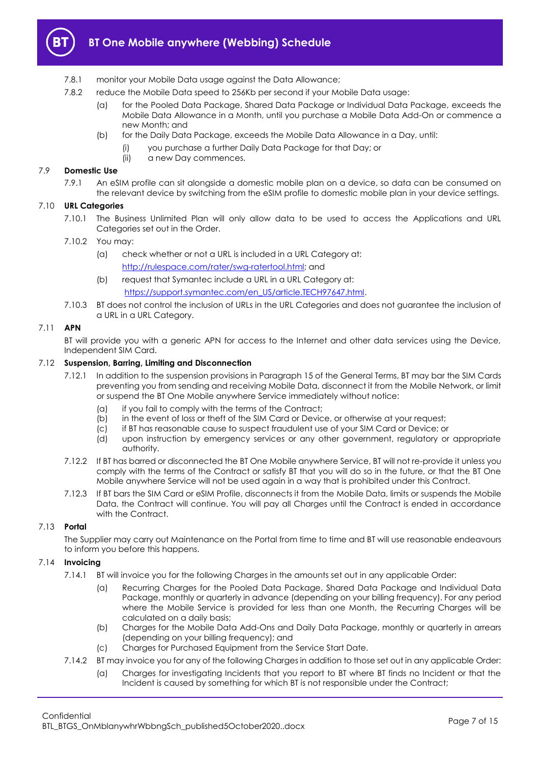

- 7.8.1 monitor your Mobile Data usage against the Data Allowance;
- 7.8.2 reduce the Mobile Data speed to 256Kb per second if your Mobile Data usage:
	- (a) for the Pooled Data Package, Shared Data Package or Individual Data Package, exceeds the Mobile Data Allowance in a Month, until you purchase a Mobile Data Add-On or commence a new Month; and
	- (b) for the Daily Data Package, exceeds the Mobile Data Allowance in a Day, until:
		- (i) you purchase a further Daily Data Package for that Day; or
		- (ii) a new Day commences.

#### 7.9 **Domestic Use**

7.9.1 An eSIM profile can sit alongside a domestic mobile plan on a device, so data can be consumed on the relevant device by switching from the eSIM profile to domestic mobile plan in your device settings.

#### 7.10 **URL Categories**

7.10.1 The Business Unlimited Plan will only allow data to be used to access the Applications and URL Categories set out in the Order.

#### 7.10.2 You may:

(a) check whether or not a URL is included in a URL Category at:

[http://rulespace.com/rater/swg-ratertool.html;](http://rulespace.com/rater/swg-ratertool.html) and

- (b) request that Symantec include a URL in a URL Category at: [https://support.symantec.com/en\\_US/article.TECH97647.html.](https://support.symantec.com/en_US/article.TECH97647.html)
- 7.10.3 BT does not control the inclusion of URLs in the URL Categories and does not guarantee the inclusion of a URL in a URL Category.

#### 7.11 **APN**

BT will provide you with a generic APN for access to the Internet and other data services using the Device, Independent SIM Card.

#### <span id="page-6-0"></span>7.12 **Suspension, Barring, Limiting and Disconnection**

- 7.12.1 In addition to the suspension provisions in Paragraph 15 of the General Terms, BT may bar the SIM Cards preventing you from sending and receiving Mobile Data, disconnect it from the Mobile Network, or limit or suspend the BT One Mobile anywhere Service immediately without notice:
	- (a) if you fail to comply with the terms of the Contract;
	- (b) in the event of loss or theft of the SIM Card or Device, or otherwise at your request;
	- (c) if BT has reasonable cause to suspect fraudulent use of your SIM Card or Device; or
	- (d) upon instruction by emergency services or any other government, regulatory or appropriate authority.
- 7.12.2 If BT has barred or disconnected the BT One Mobile anywhere Service, BT will not re-provide it unless you comply with the terms of the Contract or satisfy BT that you will do so in the future, or that the BT One Mobile anywhere Service will not be used again in a way that is prohibited under this Contract.
- 7.12.3 If BT bars the SIM Card or eSIM Profile, disconnects it from the Mobile Data, limits or suspends the Mobile Data, the Contract will continue. You will pay all Charges until the Contract is ended in accordance with the Contract.

#### 7.13 **Portal**

The Supplier may carry out Maintenance on the Portal from time to time and BT will use reasonable endeavours to inform you before this happens.

#### 7.14 **Invoicing**

- 7.14.1 BT will invoice you for the following Charges in the amounts set out in any applicable Order:
	- (a) Recurring Charges for the Pooled Data Package, Shared Data Package and Individual Data Package, monthly or quarterly in advance (depending on your billing frequency). For any period where the Mobile Service is provided for less than one Month, the Recurring Charges will be calculated on a daily basis;
	- (b) Charges for the Mobile Data Add-Ons and Daily Data Package, monthly or quarterly in arrears (depending on your billing frequency); and
	- (c) Charges for Purchased Equipment from the Service Start Date.
- 7.14.2 BT may invoice you for any of the following Charges in addition to those set out in any applicable Order:
	- (a) Charges for investigating Incidents that you report to BT where BT finds no Incident or that the Incident is caused by something for which BT is not responsible under the Contract;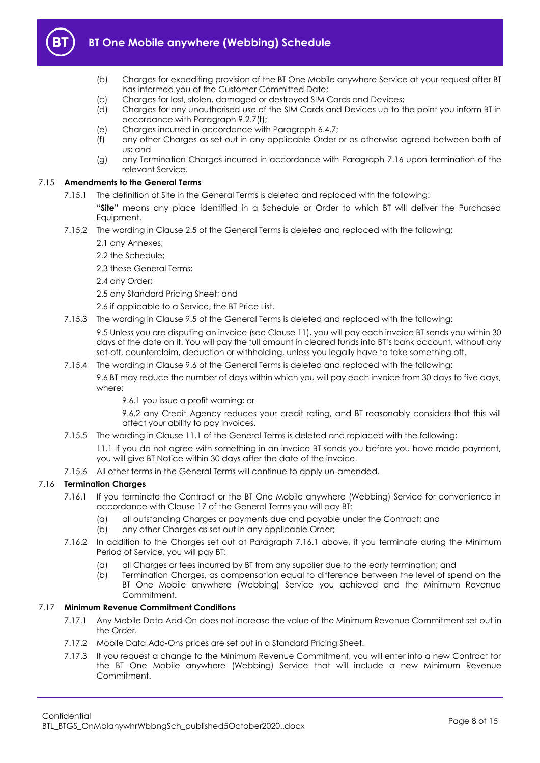

- (b) Charges for expediting provision of the BT One Mobile anywhere Service at your request after BT has informed you of the Customer Committed Date;
- (c) Charges for lost, stolen, damaged or destroyed SIM Cards and Devices;
- (d) Charges for any unauthorised use of the SIM Cards and Devices up to the point you inform BT in accordance with Paragrap[h 9.2.7\(f\);](#page-10-1)
- (e) Charges incurred in accordance with Paragraph [6.4.7;](#page-4-4)
- (f) any other Charges as set out in any applicable Order or as otherwise agreed between both of us; and
- (g) any Termination Charges incurred in accordance with Paragraph [7.16](#page-7-0) upon termination of the relevant Service.

#### 7.15 **Amendments to the General Terms**

7.15.1 The definition of Site in the General Terms is deleted and replaced with the following:

"**Site**" means any place identified in a Schedule or Order to which BT will deliver the Purchased Equipment.

- 7.15.2 The wording in Clause 2.5 of the General Terms is deleted and replaced with the following:
	- 2.1 any Annexes;
	- 2.2 the Schedule;
	- 2.3 these General Terms;
	- 2.4 any Order;
	- 2.5 any Standard Pricing Sheet; and
	- 2.6 if applicable to a Service, the BT Price List.
- 7.15.3 The wording in Clause 9.5 of the General Terms is deleted and replaced with the following:

9.5 Unless you are disputing an invoice (see Clause 11), you will pay each invoice BT sends you within 30 days of the date on it. You will pay the full amount in cleared funds into BT's bank account, without any set-off, counterclaim, deduction or withholding, unless you legally have to take something off.

- 7.15.4 The wording in Clause 9.6 of the General Terms is deleted and replaced with the following: 9.6 BT may reduce the number of days within which you will pay each invoice from 30 days to five days, where:
	- 9.6.1 you issue a profit warning; or

9.6.2 any Credit Agency reduces your credit rating, and BT reasonably considers that this will affect your ability to pay invoices.

- 7.15.5 The wording in Clause 11.1 of the General Terms is deleted and replaced with the following:
	- 11.1 If you do not agree with something in an invoice BT sends you before you have made payment, you will give BT Notice within 30 days after the date of the invoice.
- 7.15.6 All other terms in the General Terms will continue to apply un-amended.

#### <span id="page-7-1"></span><span id="page-7-0"></span>7.16 **Termination Charges**

- 7.16.1 If you terminate the Contract or the BT One Mobile anywhere (Webbing) Service for convenience in accordance with Clause 17 of the General Terms you will pay BT:
	- (a) all outstanding Charges or payments due and payable under the Contract; and
	- (b) any other Charges as set out in any applicable Order;
- 7.16.2 In addition to the Charges set out at Paragraph [7.16.1](#page-7-1) above, if you terminate during the Minimum Period of Service, you will pay BT:
	- (a) all Charges or fees incurred by BT from any supplier due to the early termination; and
	- (b) Termination Charges, as compensation equal to difference between the level of spend on the BT One Mobile anywhere (Webbing) Service you achieved and the Minimum Revenue Commitment.

#### 7.17 **Minimum Revenue Commitment Conditions**

- 7.17.1 Any Mobile Data Add-On does not increase the value of the Minimum Revenue Commitment set out in the Order.
- 7.17.2 Mobile Data Add-Ons prices are set out in a Standard Pricing Sheet.
- 7.17.3 If you request a change to the Minimum Revenue Commitment, you will enter into a new Contract for the BT One Mobile anywhere (Webbing) Service that will include a new Minimum Revenue Commitment.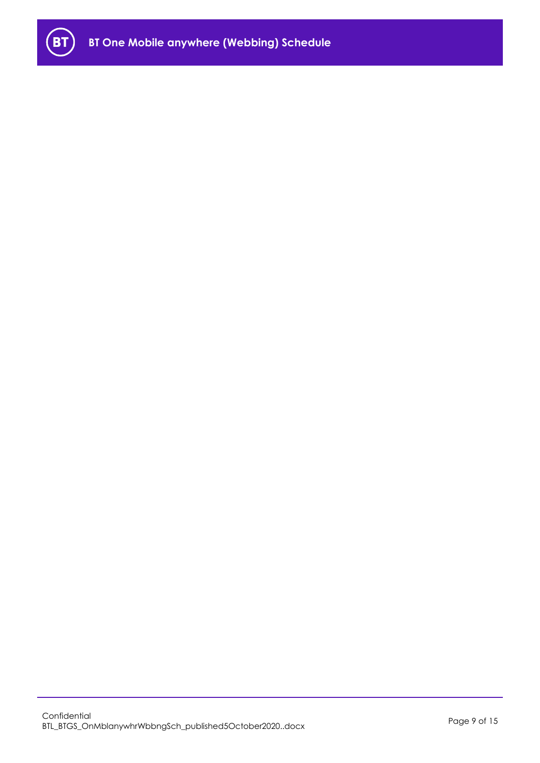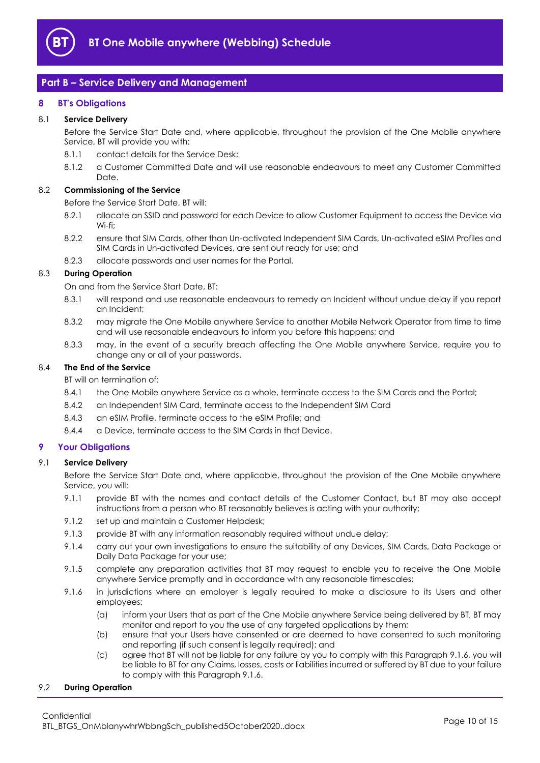

## <span id="page-9-0"></span>**Part B – Service Delivery and Management**

#### <span id="page-9-1"></span>**8 BT's Obligations**

#### 8.1 **Service Delivery**

Before the Service Start Date and, where applicable, throughout the provision of the One Mobile anywhere Service, BT will provide you with:

- 8.1.1 contact details for the Service Desk;
- 8.1.2 a Customer Committed Date and will use reasonable endeavours to meet any Customer Committed Date.

#### 8.2 **Commissioning of the Service**

Before the Service Start Date, BT will:

- 8.2.1 allocate an SSID and password for each Device to allow Customer Equipment to access the Device via Wi-fi;
- 8.2.2 ensure that SIM Cards, other than Un-activated Independent SIM Cards, Un-activated eSIM Profiles and SIM Cards in Un-activated Devices, are sent out ready for use; and
- 8.2.3 allocate passwords and user names for the Portal.

#### 8.3 **During Operation**

On and from the Service Start Date, BT:

- 8.3.1 will respond and use reasonable endeavours to remedy an Incident without undue delay if you report an Incident;
- 8.3.2 may migrate the One Mobile anywhere Service to another Mobile Network Operator from time to time and will use reasonable endeavours to inform you before this happens; and
- 8.3.3 may, in the event of a security breach affecting the One Mobile anywhere Service, require you to change any or all of your passwords.

#### 8.4 **The End of the Service**

BT will on termination of:

- 8.4.1 the One Mobile anywhere Service as a whole, terminate access to the SIM Cards and the Portal;
- 8.4.2 an Independent SIM Card, terminate access to the Independent SIM Card
- 8.4.3 an eSIM Profile, terminate access to the eSIM Profile; and
- 8.4.4 a Device, terminate access to the SIM Cards in that Device.

#### <span id="page-9-2"></span>**9 Your Obligations**

#### 9.1 **Service Delivery**

Before the Service Start Date and, where applicable, throughout the provision of the One Mobile anywhere Service, you will:

- 9.1.1 provide BT with the names and contact details of the Customer Contact, but BT may also accept instructions from a person who BT reasonably believes is acting with your authority;
- 9.1.2 set up and maintain a Customer Helpdesk;
- 9.1.3 provide BT with any information reasonably required without undue delay;
- 9.1.4 carry out your own investigations to ensure the suitability of any Devices, SIM Cards, Data Package or Daily Data Package for your use;
- 9.1.5 complete any preparation activities that BT may request to enable you to receive the One Mobile anywhere Service promptly and in accordance with any reasonable timescales;
- <span id="page-9-3"></span>9.1.6 in jurisdictions where an employer is legally required to make a disclosure to its Users and other employees:
	- (a) inform your Users that as part of the One Mobile anywhere Service being delivered by BT, BT may monitor and report to you the use of any targeted applications by them;
	- (b) ensure that your Users have consented or are deemed to have consented to such monitoring and reporting (if such consent is legally required); and
	- (c) agree that BT will not be liable for any failure by you to comply with this Paragraph [9.1.6,](#page-9-3) you will be liable to BT for any Claims, losses, costs or liabilities incurred or suffered by BT due to your failure to comply with this Paragrap[h 9.1.6.](#page-9-3)

#### 9.2 **During Operation**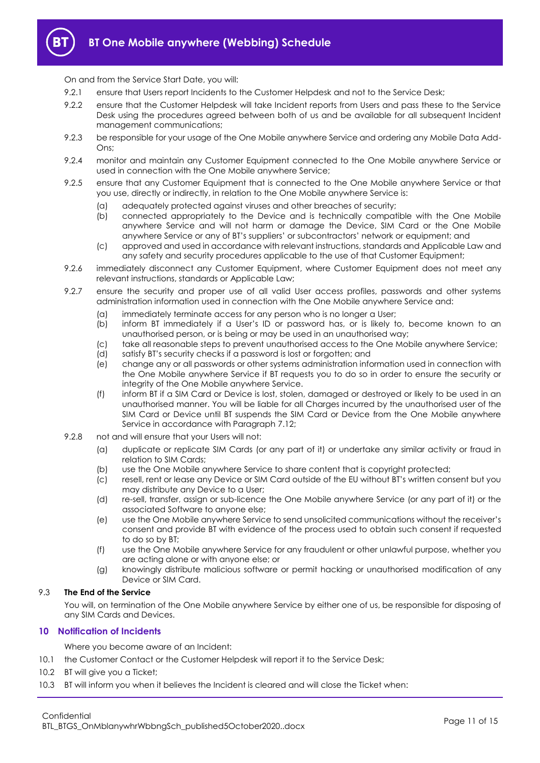

On and from the Service Start Date, you will:

- 9.2.1 ensure that Users report Incidents to the Customer Helpdesk and not to the Service Desk;
- 9.2.2 ensure that the Customer Helpdesk will take Incident reports from Users and pass these to the Service Desk using the procedures agreed between both of us and be available for all subsequent Incident management communications;
- 9.2.3 be responsible for your usage of the One Mobile anywhere Service and ordering any Mobile Data Add-Ons;
- 9.2.4 monitor and maintain any Customer Equipment connected to the One Mobile anywhere Service or used in connection with the One Mobile anywhere Service;
- 9.2.5 ensure that any Customer Equipment that is connected to the One Mobile anywhere Service or that you use, directly or indirectly, in relation to the One Mobile anywhere Service is:
	- (a) adequately protected against viruses and other breaches of security;
	- (b) connected appropriately to the Device and is technically compatible with the One Mobile anywhere Service and will not harm or damage the Device, SIM Card or the One Mobile anywhere Service or any of BT's suppliers' or subcontractors' network or equipment; and
	- (c) approved and used in accordance with relevant instructions, standards and Applicable Law and any safety and security procedures applicable to the use of that Customer Equipment;
- 9.2.6 immediately disconnect any Customer Equipment, where Customer Equipment does not meet any relevant instructions, standards or Applicable Law;
- 9.2.7 ensure the security and proper use of all valid User access profiles, passwords and other systems administration information used in connection with the One Mobile anywhere Service and:
	- (a) immediately terminate access for any person who is no longer a User;
	- (b) inform BT immediately if a User's ID or password has, or is likely to, become known to an unauthorised person, or is being or may be used in an unauthorised way;
	- (c) take all reasonable steps to prevent unauthorised access to the One Mobile anywhere Service;
	- (d) satisfy BT's security checks if a password is lost or forgotten; and
	- (e) change any or all passwords or other systems administration information used in connection with the One Mobile anywhere Service if BT requests you to do so in order to ensure the security or integrity of the One Mobile anywhere Service.
	- (f) inform BT if a SIM Card or Device is lost, stolen, damaged or destroyed or likely to be used in an unauthorised manner. You will be liable for all Charges incurred by the unauthorised user of the SIM Card or Device until BT suspends the SIM Card or Device from the One Mobile anywhere Service in accordance with Paragraph [7.12;](#page-6-0)
- <span id="page-10-1"></span>9.2.8 not and will ensure that your Users will not:
	- (a) duplicate or replicate SIM Cards (or any part of it) or undertake any similar activity or fraud in relation to SIM Cards;
	- (b) use the One Mobile anywhere Service to share content that is copyright protected;
	- (c) resell, rent or lease any Device or SIM Card outside of the EU without BT's written consent but you may distribute any Device to a User;
	- (d) re-sell, transfer, assign or sub-licence the One Mobile anywhere Service (or any part of it) or the associated Software to anyone else;
	- (e) use the One Mobile anywhere Service to send unsolicited communications without the receiver's consent and provide BT with evidence of the process used to obtain such consent if requested to do so by BT;
	- (f) use the One Mobile anywhere Service for any fraudulent or other unlawful purpose, whether you are acting alone or with anyone else; or
	- (g) knowingly distribute malicious software or permit hacking or unauthorised modification of any Device or SIM Card.

#### 9.3 **The End of the Service**

You will, on termination of the One Mobile anywhere Service by either one of us, be responsible for disposing of any SIM Cards and Devices.

#### <span id="page-10-0"></span>**10 Notification of Incidents**

Where you become aware of an Incident:

- 10.1 the Customer Contact or the Customer Helpdesk will report it to the Service Desk;
- 10.2 BT will give you a Ticket;
- 10.3 BT will inform you when it believes the Incident is cleared and will close the Ticket when: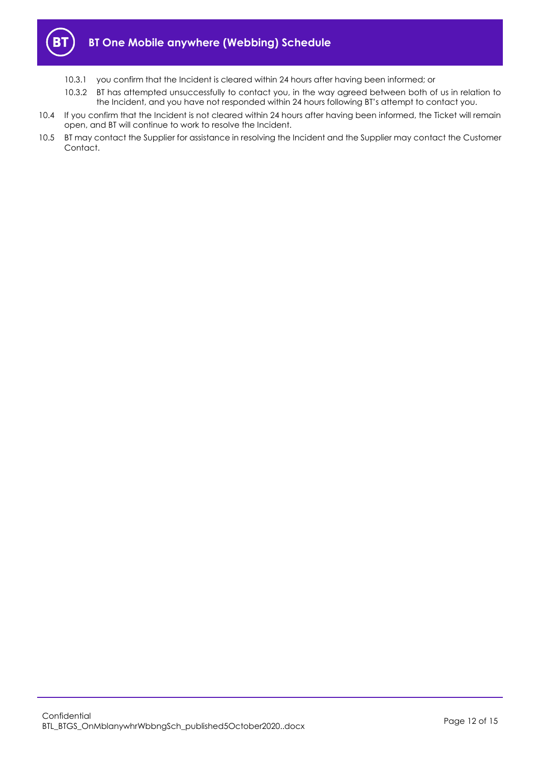

- 10.3.1 you confirm that the Incident is cleared within 24 hours after having been informed; or
- 10.3.2 BT has attempted unsuccessfully to contact you, in the way agreed between both of us in relation to the Incident, and you have not responded within 24 hours following BT's attempt to contact you.
- 10.4 If you confirm that the Incident is not cleared within 24 hours after having been informed, the Ticket will remain open, and BT will continue to work to resolve the Incident.
- 10.5 BT may contact the Supplier for assistance in resolving the Incident and the Supplier may contact the Customer Contact.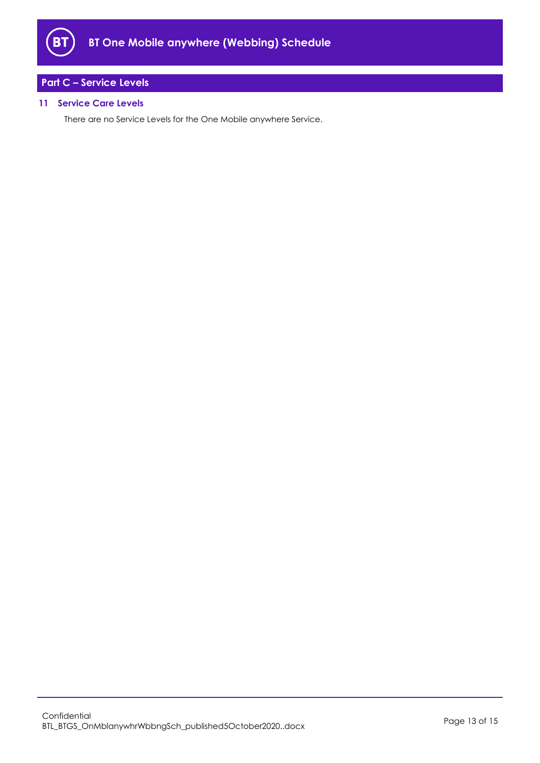

# <span id="page-12-0"></span>**Part C – Service Levels**

#### <span id="page-12-1"></span>**11 Service Care Levels**

There are no Service Levels for the One Mobile anywhere Service.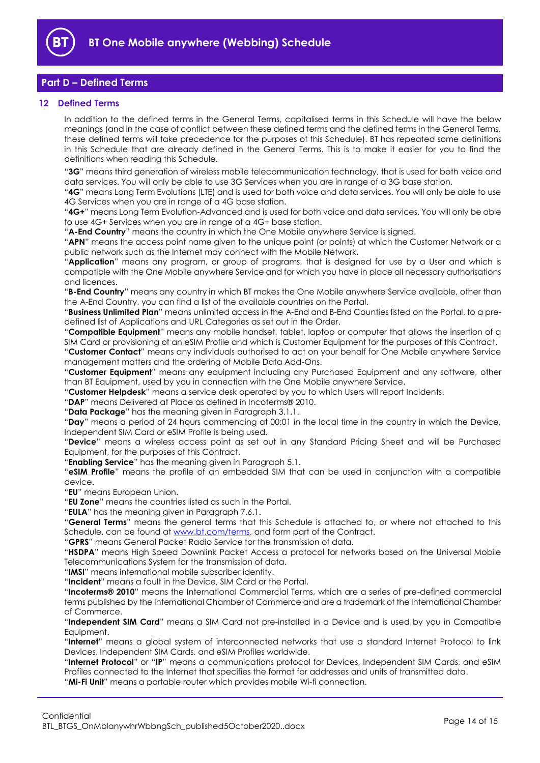

# <span id="page-13-0"></span>**Part D – Defined Terms**

#### <span id="page-13-1"></span>**12 Defined Terms**

In addition to the defined terms in the General Terms, capitalised terms in this Schedule will have the below meanings (and in the case of conflict between these defined terms and the defined terms in the General Terms, these defined terms will take precedence for the purposes of this Schedule). BT has repeated some definitions in this Schedule that are already defined in the General Terms. This is to make it easier for you to find the definitions when reading this Schedule.

"**3G**" means third generation of wireless mobile telecommunication technology, that is used for both voice and data services. You will only be able to use 3G Services when you are in range of a 3G base station.

"**4G**" means Long Term Evolutions (LTE) and is used for both voice and data services. You will only be able to use 4G Services when you are in range of a 4G base station.

"**4G+**" means Long Term Evolution-Advanced and is used for both voice and data services. You will only be able to use 4G+ Services when you are in range of a 4G+ base station.

"**A-End Country**" means the country in which the One Mobile anywhere Service is signed.

"**APN**" means the access point name given to the unique point (or points) at which the Customer Network or a public network such as the Internet may connect with the Mobile Network.

"**Application**" means any program, or group of programs, that is designed for use by a User and which is compatible with the One Mobile anywhere Service and for which you have in place all necessary authorisations and licences.

"**B-End Country**" means any country in which BT makes the One Mobile anywhere Service available, other than the A-End Country, you can find a list of the available countries on the Portal.

"**Business Unlimited Plan**" means unlimited access in the A-End and B-End Counties listed on the Portal, to a predefined list of Applications and URL Categories as set out in the Order.

"**Compatible Equipment**" means any mobile handset, tablet, laptop or computer that allows the insertion of a SIM Card or provisioning of an eSIM Profile and which is Customer Equipment for the purposes of this Contract.

"**Customer Contact**" means any individuals authorised to act on your behalf for One Mobile anywhere Service management matters and the ordering of Mobile Data Add-Ons.

"**Customer Equipment**" means any equipment including any Purchased Equipment and any software, other than BT Equipment, used by you in connection with the One Mobile anywhere Service.

"**Customer Helpdesk**" means a service desk operated by you to which Users will report Incidents.

"**DAP**" means Delivered at Place as defined in Incoterms® 2010.

"**Data Package**" has the meaning given in Paragraph [3.1.1.](#page-2-4)

"**Day**" means a period of 24 hours commencing at 00:01 in the local time in the country in which the Device, Independent SIM Card or eSIM Profile is being used.

"**Device**" means a wireless access point as set out in any Standard Pricing Sheet and will be Purchased Equipment, for the purposes of this Contract.

"**Enabling Service**" has the meaning given in Paragraph [5.1.](#page-2-5)

"**eSIM Profile**" means the profile of an embedded SIM that can be used in conjunction with a compatible device.

"**EU**" means European Union.

"**EU Zone**" means the countries listed as such in the Portal.

"**EULA**" has the meaning given in Paragraph [7.6.1.](#page-5-0)

"**General Terms**" means the general terms that this Schedule is attached to, or where not attached to this Schedule, can be found at [www.bt.com/terms,](http://www.bt.com/terms) and form part of the Contract.

"**GPRS**" means General Packet Radio Service for the transmission of data.

"**HSDPA**" means High Speed Downlink Packet Access a protocol for networks based on the Universal Mobile Telecommunications System for the transmission of data.

"**IMSI**" means international mobile subscriber identity.

"**Incident**" means a fault in the Device, SIM Card or the Portal.

"**Incoterms® 2010**" means the International Commercial Terms, which are a series of pre-defined commercial terms published by the International Chamber of Commerce and are a trademark of the International Chamber of Commerce.

"**Independent SIM Card**" means a SIM Card not pre-installed in a Device and is used by you in Compatible Equipment.

"**Internet**" means a global system of interconnected networks that use a standard Internet Protocol to link Devices, Independent SIM Cards, and eSIM Profiles worldwide.

"**Internet Protocol**" or "**IP**" means a communications protocol for Devices, Independent SIM Cards, and eSIM Profiles connected to the Internet that specifies the format for addresses and units of transmitted data.

"**Mi-Fi Unit**" means a portable router which provides mobile Wi-fi connection.